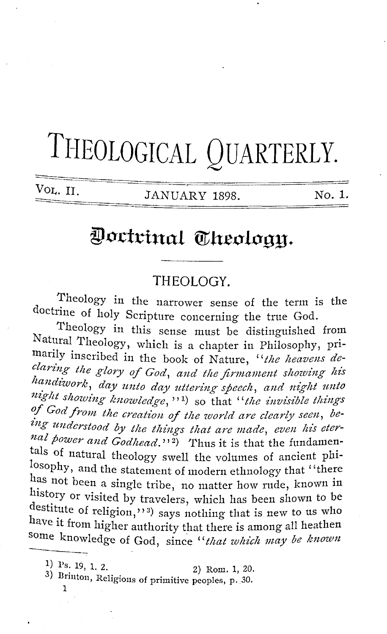# THEOLOGICAL QUARTERLY.

VOL. II. **IANUARY 1898.** No. 1.

## Doctrinal Theology.

#### THEOLOGY.

Theology in the narrower sense of the term is the doctrine of holy Scripture concerning the true God.

Theology in this sense must be distinguished from Natural Theology, which is a chapter in Philosophy, primarily inscribed in the book of Nature, "the heavens de*claring the glory of God, and the firmament showing his*  handiwork, day unto day uttering speech, and night unto night showing knowledge, <sup>11</sup>) so that "the invisible things <sup>of</sup> God from the creation of the world are clearly seen, being understood by the things that are made, even his eternal power and Godhead.'<sup>2</sup>) Thus it is that the fundamentals of natural theology swell the volumes of ancient philosophy, and the statement of modern ethnology that "there has not been a single tribe, no matter how rude, known in history or visited by travelers, which has been shown to be destitute of religion,''<sup>3)</sup> says nothing that is new to us who have it from higher authority that there is among all heathen some knowledge of God, since '' *that which may be known*  mave it from higher authority that there is an<br>
some knowledge of God, since "*that whic*.<br>
1) Ps. 19, 1, 2.<br>
2) Rom. 1, 20.

1) Ps. 19, 1. 2. 2) Rom. 1, 20.<br>3) Brinton, Religions of primitive peoples, p. 30.

1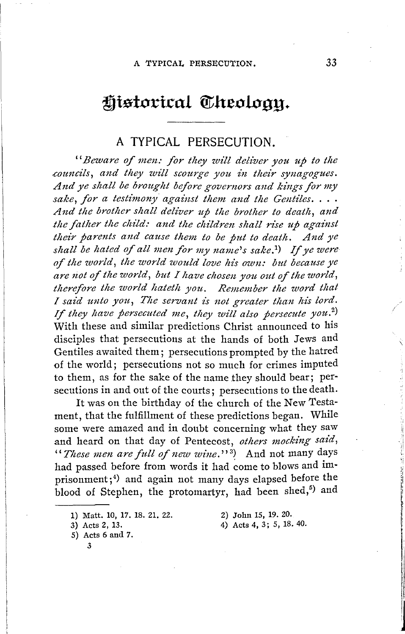### Historical Theoloan.

#### **A TYPICAL PERSECUTION.**

"Beware of men: for they will deliver you up to the *councils, and they will scourge you in their synagogues.* And ye shall be brought before governors and kings for my *sake, for a testimony against them and the Gentiles .* ... And the brother shall deliver up the brother to death, and *the father the child: and the children shall rise up against their parents and cause them to be jut to death. And ye shall be hated of all men for my name's sake. 1)* If *ye were of the world, the world would love his own: but because ye are ,iot of the world, but I have chosen you out of the world, therefore the world hateth you. Remember the word that I* said unto you, The servant is not greater than his lord. I said they have persecuted me, they will also persecute you.<sup>2</sup>) With these and similar predictions Christ announced to his disciples that persecutions at the hands of both Jews and Gentiles awaited them; persecutions prompted by the hatred of the world; persecutions not so much for crimes imputed to them, as for the sake of the name they should bear; persecutions in and out of the courts; persecutions to the death.

It was on the birthday of the church of the New Testament, that the fulfillment of these predictions began. While some were amazed and in doubt concerning what they saw and heard on that day of Pentecost, *others mocking said,*  '' *These men are full of new wine.''* 3) And not many days had passed before from words it had come to blows and imprisonment;<sup>4)</sup> and again not many days elapsed before the blood of Stephen, the protomartyr, had been shed,<sup>5)</sup> and

1) Matt. 10, 17. 18. 21. 22.

5) Acts 6 and 7.

3

- 2) John 15, 19. 20.
- 4) Acts 4, 3; 5, 18. 40.

 $\lambda$ 

<sup>3)</sup> Acts 2, 13.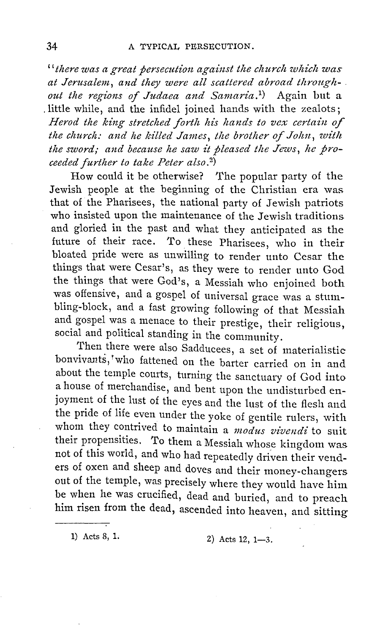" there was a great persecution against the church which was *at Jerusalem, and they were all scattered abroad through-* . *out the regions of Judaea and Sanzaria. 1)* Again but a . little while, and the infidel joined hands with the zealots; Herod the king stretched forth his hands to vex certain of the church: and he killed James, the brother of John, with *the sword; and because he saw it pleased the Jews, he proceeded further to take Peter also. 2)* 

How could it be otherwise? The popular party of the Jewish people at the beginning of the Christian era was that of the Pharisees, the national party of Jewish patriots who insisted upon the maintenance of the Jewish traditions and gloried in the past and what they anticipated as the future of their race. To these Pharisees, who in their bloated pride were as unwilling to render unto Cesar the things that were Cesar's, as they were to render unto God the things that were God's, a Messiah who enjoined both was offensive, and a gospel of universal grace was a stumbling-block, and a fast growing following of that Messiah and gospel was a menace to their prestige, their religious, social and political standing in the community.

Then there were also Sadducees, a set of materialistic bonvivants, who fattened on the barter carried on in and about the temple courts, turning the sanctuary of God into a house of merchandise, and bent upon the undisturbed enjoyment of the lust of the eyes and the lust of the flesh and the pride of life even under the yoke of gentile rulers, with whom they contrived to maintain a *modus vivendi* to suit their propensities. To them a Messiah whose kingdom was not of this world, and who had repeatedly driven their venders of oxen and sheep and doves and their money-changers out of the temple, was precisely where they would have him be when he was crucified, dead and buried, and to preach him risen from the dead, ascended into heaven, and sitting

1) Acts 8, 1. 2) Acts 12, 1-3.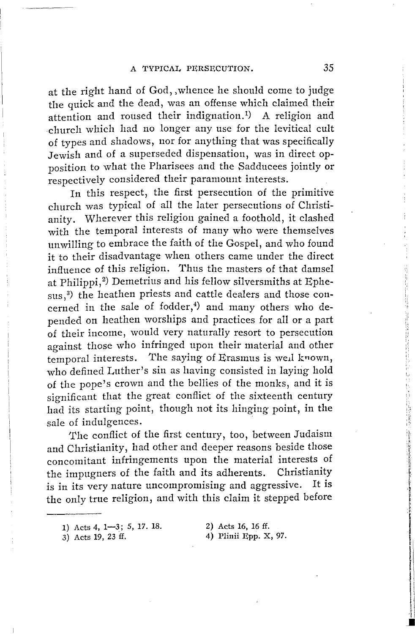at the right hand of God,, whence he should come to judge the quick and the dead, was an offense which claimed their attention and roused their indignation.<sup>1)</sup> A religion and church which had no longer any use for the levitical cult of types and shadows, nor for anything that was specifically Jewish and of a superseded dispensation, was in direct opposition to what the Pharisees and the Sadducees jointly or respectively considered their paramount interests.

In this respect, the first persecution of the primitive church was typical of all the later persecutions of Christianity. Wherever this religion gained a foothold, it clashed with the temporal interests of many who were themselves unwilling to embrace the faith of the Gospel, and who found it to their disadvantage when others came under the direct influence of this religion. Thus the masters of that damsel at Philippi,<sup>2</sup>) Demetrius and his fellow silversmiths at Ephesus,<sup>3)</sup> the heathen priests and cattle dealers and those concerned in the sale of fodder, $^4$ ) and many others who depended on heathen worships and practices for all or a part of their income, would very naturally resort to persecution against those who infringed upon their material and other temporal interests. The saying of Erasmus is well known, who defined Luther's sin as having consisted in laying hold of the pope's crown and the bellies of the monks, and it is significant that the great conflict of the sixteenth century had its starting point, though not its hinging point, in the sale of indulgences.

The conflict of the first century, too, between Judaism and Christianity, had other and deeper reasons beside those concomitant infringements upon the material interests of the impugners of the faith and its adherents. Christianity is in its very nature uncompromising and aggressive. It is the only true religion, and with this claim it stepped before

3) Acts 19, 23 ff.

,, I,,

<sup>1)</sup> Acts 4, 1-3; 5, 17. 18.

<sup>2)</sup> Acts 16, 16 ff. 4) Plinii Epp. X, 97.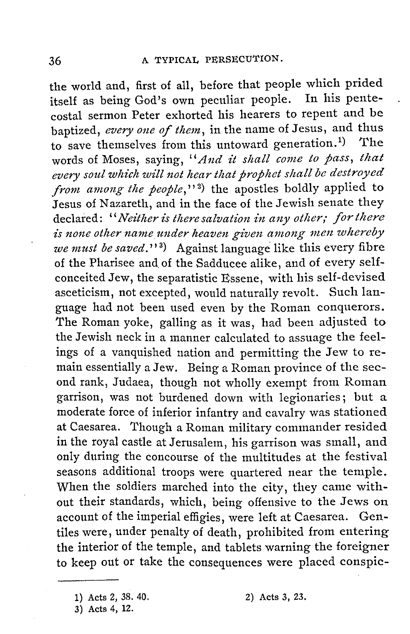the world and, first of all, before that people which prided itself as being God's own peculiar people. In his pentecostal sermon Peter exhorted his hearers to repent and be baptized, *every one of them,* in the name of Jesus, and thus to save themselves from this untoward generation.<sup>1</sup>) The words of Moses, saying, "And it shall come to pass, that every soul which will not hear that prophet shall be destroyed *from among the people*,"<sup>2</sup>) the apostles boldly applied to Jesus of Nazareth, and in the face of the Jewish senate they declared: "*Neither is there salvation in any other; for there* is none other name under heaven given among men whereby *we must be saved.''* <sup>3</sup> ) Against language like this every fibre of the Pharisee and of the Sadducee alike, and of every selfconceited Jew, the separatistic Essene, with his self-devised asceticism, not excepted, would naturally revolt. Such language had not been used even by the Roman conquerors. The Roman yoke, galling as it was, had been adjusted to the Jewish neck in a manner calculated to assuage the feelings of a vanquished nation and permitting the Jew to remain essentially a Jew. Being a Roman province of the second rank, Judaea, though not wholly exempt from Roman garrison, was not burdened down with legionaries; but a moderate force of inferior infantry and cavalry was stationed at Caesarea. Though a Roman military commander resided in the royal castle at Jerusalem, his garrison was small, and only during the concourse of the multitudes at the festival seasons additional troops were quartered near the temple. When the soldiers marched into the city, they came without their standards, which, being offensive to the Jews on account of the imperial effigies, were left at Caesarea. Gentiles were, under penalty of death, prohibited from entering the interior of the temple, and tablets warning the foreigner to keep out or take the consequences were placed conspic-

<sup>1)</sup> Acts 2, 38. 40.

<sup>2)</sup> Acts 3, 23.

<sup>3)</sup> Acts 4, 12.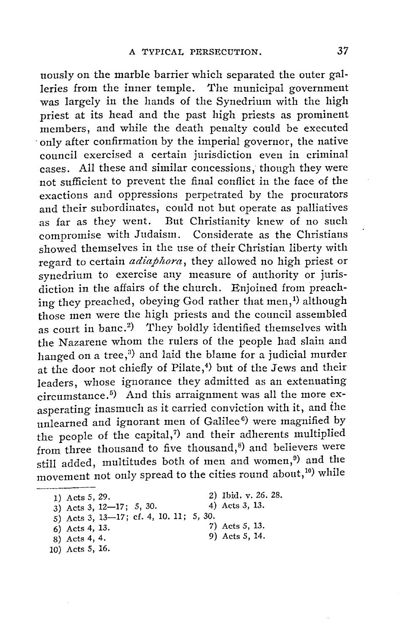uously on the marble barrier which separated the outer galleries from the inner temple. The municipal government was largely in the hands of the Synedrium with the high priest at its head and the past high priests as prominent members, and while the death penalty could be executed only after confirmation by the imperial governor, the native council exercised a certain jurisdiction even in criminal cases. All these and similar concessions, though they were not sufficient to prevent the final conflict in the face of the exactions and oppressions perpetrated by the procurators and their subordinates, could not but operate as palliatives as far as they went. But Christianity knew of no such compromise with Judaism. Considerate as the Christians showed themselves in the use of their Christian liberty with regard to certain *adiaphora,* they allowed no high priest or synedrium to exercise any measure of authority or jurisdiction in the affairs of the church. Enjoined from preaching they preached, obeying God rather that men,<sup>1</sup>) although those men were the high priests and the council assembled as court in banc.<sup>2</sup>) They boldly identified themselves with the Nazarene whom the rulers of the people had slain and hanged on a tree,<sup>3)</sup> and laid the blame for a judicial murder at the door not chiefly of Pilate,<sup>4</sup>) but of the Jews and their leaders, whose ignorance they admitted as an extenuating circumstance. 5) And this arraignment was all the more exasperating inasmuch as it carried conviction with it, and the unlearned and ignorant men of Galilee $^6$ ) were magnified by the people of the capital,<sup>7</sup> and their adherents multiplied from three thousand to five thousand, $6$  and believers were still added, multitudes both of men and women,<sup>9</sup>) and the movement not only spread to the cities round about,<sup>10</sup>) while

- 1) Acts 5, 29.
- 3) Acts 3, 12-17; 5, 30.
- 
- 2) Ibid. v. 26. 28. 4) Acts 3, 13.
- $5)$  Acts 3, 13-17; cf. 4, 10. 11; 5, 30.
- 6) Acts 4, 13.
- 8) Acts 4, 4.
- 10) Acts 5, 16.
- 
- 7) Acts 5, 13.
- 9) Acts 5, 14.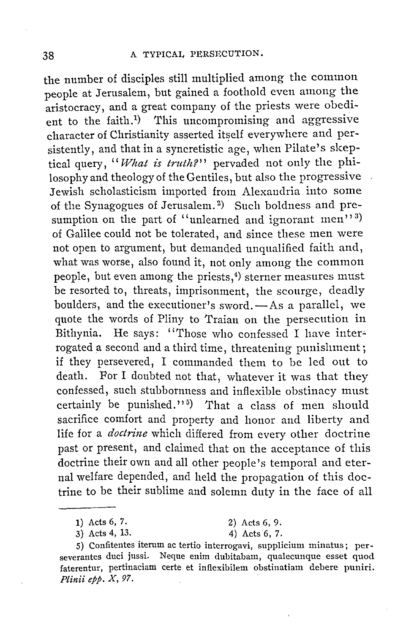the number of disciples still multiplied among the common people at Jerusalem, but gained a foothold even among the aristocracy, and a great company of the priests were obedient to the faith.<sup>1)</sup> This uncompromising and aggressive character of Christianity asserted itself everywhere and persistently, and that in a syncretistic age, when Pilate's skeptical query, "What is truth?" pervaded not only the philosophy and theology of the Gentiles, but also the progressive Jewish scholasticism imported from Alexandria into some of the Synagogues of Jerusalem. 2) Such boldness and presumption on the part of "unlearned and ignorant  ${\rm men''}$  3) of Galilee could not be tolerated, and since these men were not open to argument, but demanded unqualified faith and, what was worse, also found it, not only among the common people, but even among the priests, 4) sterner measures must be resorted to, threats, imprisonment, the scourge, deadly boulders, and the executioner's sword.-As a parallel, we quote the words of Pliny to Traian on the persecution in Bithynia. He says: "Those who confessed I have interrogated a second and a third time, threatening punishment; if they persevered, I commanded them to be led out to death. For I doubted not that, whatever it was that they confessed, such stubbornness and inflexible obstinacy must certainly be punished."<sup>5</sup>) That a class of men should sacrifice comfort and property and honor and liberty and life for a *doctrine* which differed from every other doctrine past or present, and claimed that on the acceptance of this doctrine their own and all other people's temporal and eternal welfare depended, and held the propagation of this doctrine to be their sublime and solemn duty in the face of all

3) Acts 4, 13. 4) Acts 6, 7.

<sup>1)</sup> Acts 6, 7. 2) Acts 6, 9.

<sup>5)</sup> Confitentes iterum ac tertio interrogavi, supplicium minatus; perseverantes duci jussi. Neque enim dubitabam, qualecunque esset quod faterentur, pertinaciam certe et inflexibilem obstinatiam debere puniri. *Plinii epp. X, 97.*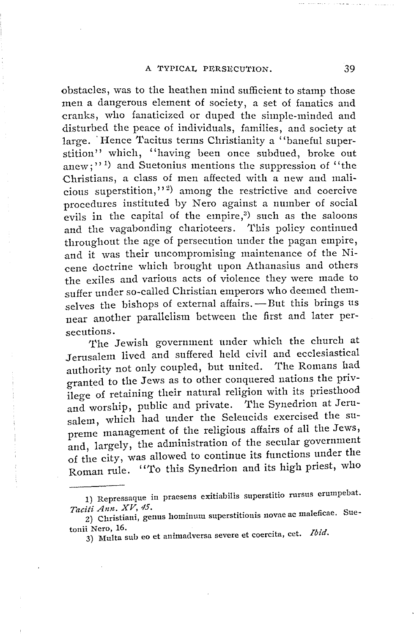obstacles, was to the heathen mind sufficient to stamp those men a dangerous element of society, a set of fanatics and cranks, who fanaticized or duped the simple-minded and disturbed the peace of individuals, families, and society at large. Hence Tacitus terms Christianity a "baneful superstition" which, "having been once subdued, broke out anew;"<sup>1)</sup> and Suetonius mentions the suppression of "the Christians, a class of men affected with a new and malicious superstition,"<sup>2)</sup> among the restrictive and coercive procedures instituted by Nero against a number of social evils in the capital of the empire, $3$ ) such as the saloons and the vagabonding charioteers. This policy continued throughout the age of persecution under the pagan empire, and it was their uncompromising maintenance of the Nicene doctrine which brought upon Athanasius and others the exiles and various acts of violence they were made to suffer under so-called Christian emperors who deemed themselves the bishops of external affairs. - But this brings us near another parallelism between the first and later persecutions.

The Jewish government under which the church at Jerusalem lived and suffered held civil and ecclesiastical<br>euthority not only coupled, but united. The Romans had authority not only coupled, but united. granted to the Jews as to other conquered nations the privilege of retaining their natural religion with its priesthood and worship, public and private. The Synedrion at Jerusalem, which had under the Seleucids exercised the supreme management of the religious affairs of all the Jews, and, largely, the administration of the secular government of the city, was allowed to continue its functions under the Roman rule. "To this Synedrion and its high priest, who

<sup>1)</sup> Repressaque in praesens exitiabilis superstitio rursus erumpebat. *Taciti Ann. XV, 45.* 

<sup>2)</sup> Christiani, genus homimun superstitiouis novae ac maleficae. Sue-

tonii Nero, 16.<br>3) Multa sub eo et animadversa severe et coercita, cet. *Ibid*.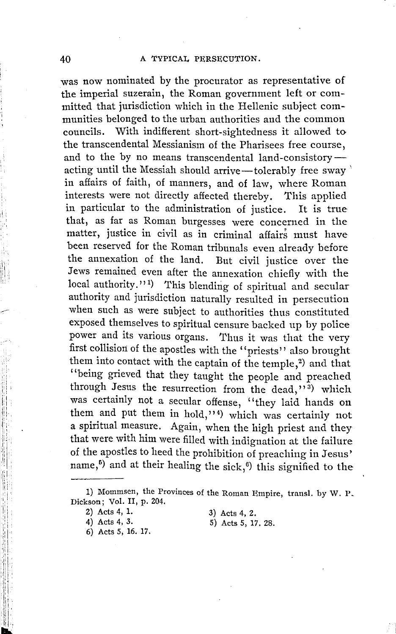was now nominated by the procurator as representative of the imperial suzerain, the Roman government left or committed that jurisdiction which in the Hellenic subject communities belonged to the urban authorities and the common councils. With indifferent short-sightedness it allowed to the transcendental Messianism of the Pharisees free course, and to the by no means transcendental land-consistoryacting until the Messiah should arrive-tolerably free sway in affairs of faith, of manners, and of law, where Roman interests were not directly affected thereby. This applied in particular to the administration of justice. It is true that, as far as Roman burgesses were concerned in the matter, justice in civil as in criminal affairs must have been reserved for the Roman tribunals even already before the annexation of the land. But civil justice over the Jews remained even after the annexation chiefly with the local authority."<sup>1</sup>) This blending of spiritual and secular authority and jurisdiction naturally resulted in persecution when such as were subject to authorities thus constituted exposed themselves to spiritual censure backed up by police power and its various organs. Thus it was that the very first collision of the apostles with the "priests" also brought them into contact with the captain of the temple,<sup>2</sup>) and that ''being grieved that they taught the people and preached through Jesus the resurrection from the dead," $3$ ) which was certainly not a secular offense, "they laid hands on them and put them in hold,"<sup>4</sup>) which was certainly not a spiritual measure. Again, when the high priest and they that were with him were filled with indignation at the failure of the apostles to heed the prohibition of preaching in Jesus' name,<sup>5)</sup> and at their healing the sick,<sup>6)</sup> this signified to the

- 6) Acts 5, 16. 17.
- 3) Acts 4, 2.
- 5) Acts 5, 17. 28.

i'' 'iii 1,1·:  $\mathbf{r}$ 

, .... ~·

<sup>1)</sup> Mommsen, the Provinces of the Roman Empire, transl. by W. P. Dickson; Vol. II, p. 204.

<sup>2)</sup> Acts 4, 1.

<sup>4)</sup> Acts 4, 3.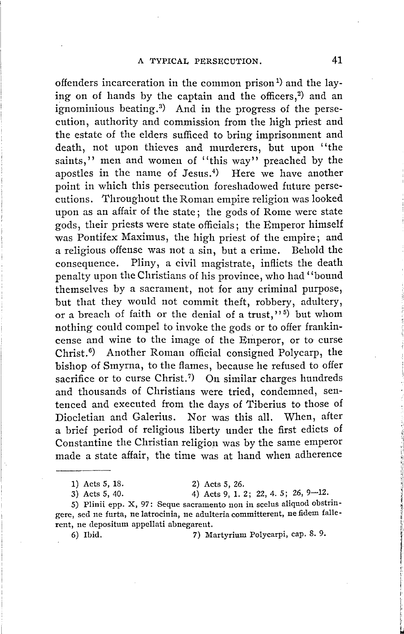offenders incarceration in the common prison<sup>1)</sup> and the laying on of hands by the captain and the officers,<sup>2</sup>) and an ignominious beating.<sup>3)</sup> And in the progress of the persecution, authority and commission from the high priest and the estate of the elders sufficed to bring imprisonment and death, not upon thieves and murderers, but upon "the saints," men and women of "this way" preached by the apostles in the name of Jesus. 4) Here we have another point in which this persecution foreshadowed future persecutions. Throughout the Roman empire religion was looked upon as an affair of the state; the gods of Rome were state gods, their priests were state officials; the Emperor himself was Pontifex Maximus, the high priest of the empire; and a religious offense was not a sin, but a crime. Behold the consequence. Pliny, a civil magistrate, inflicts the death penalty upon the Christians of his province, who had' 'bound themselves by a sacrament, not for any criminal purpose, but that they would not commit theft, robbery, adultery, or a breach of faith or the denial of a trust,"<sup>5)</sup> but whom nothing could compel to invoke the gods or to offer frankincense and wine to the image of the Emperor, or to curse Christ. <sup>0</sup> ) Another Roman official consigned Polycarp, the bishop of Smyrna, to the flames, because he refused to offer sacrifice or to curse Christ.<sup>7</sup>) On similar charges hundreds and thousands of Christians were tried, condemned, sentenced and executed from the days of Tiberius to those of Diocletian and Galerius. Nor was this all. When, after a brief period of religious liberty under the first edicts of Constantine the Christian religion was by the same emperor made a state affair, the time was at hand when adherence

1) Acts 5, 18. 2) Acts 5, 26.

3) Acts 5, 40. 4) Acts 9, 1. 2; 22, 4. 5; 26, 9-12.

5) Plinii epp. X, 97: Seque sacramento non in scelus aliquod obstringere, sed ne furta, ne latrocinia, ne adulteria committerent, ne fidem fallerent, ne depositum appellati abnegarent.

6) Ibid. 7) Martyrium Polycarpi, cap. 8. 9.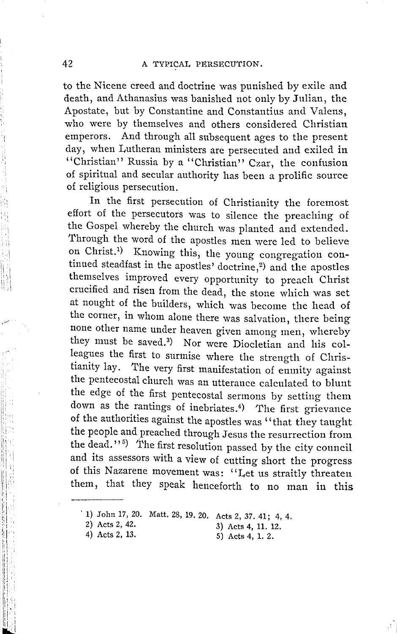to the Nicene creed and doctrine was punished by exile and death, and Athanasius was banished not only by Julian, the Apostate, but by Constantine and Constantius and Valens, who were by themselves and others considered Christian emperors. And through all subsequent ages to the present day, when Lutheran ministers are persecuted and exiled in "Christian" Russia by a "Christian" Czar, the confusion of spiritual and secular authority has been a prolific source of religious persecution.

In the first persecution of Christianity the foremost effort of the persecutors was to silence the preaching of the Gospel whereby the church was planted and extended. Through the word of the apostles men were led to believe on Christ.<sup>1</sup>) Knowing this, the young congregation continued steadfast in the apostles' doctrine,<sup>2</sup>) and the apostles themselves improved every opportunity to preach Christ crucified and risen from the dead, the stone which was set at nought of the builders, which was become the head of the corner, in whom alone there was salvation, there being none other name under heaven given among men, whereby they must be saved.<sup>3</sup>) Nor were Diocletian and his colleagues the first to surmise where the strength of Christianity lay. The very first manifestation of enmity against the pentecostal church was an utterance calculated to blunt the edge of the first pentecostal sermons by setting them down as the rantings of inebriates.4) The first grievance of the authorities against the apostles was "that they taught the people and preached through Jesus the resurrection from the dead."<sup>5)</sup> The first resolution passed by the city council and its assessors with a view of cutting short the progress of this Nazarene movement was: '' Let us straitly threaten them, that they speak henceforth to no man in this

5) Acts 4, 1. 2.

:,•I '

<sup>· 1)</sup> John 17, 20. Matt. 28, 19. 20. Acts 2, 37. 41; 4, 4.

<sup>2)</sup> Acts 2, 42. <br>4) Acts 2, 13. <br>5) Acts 4, 1, 2.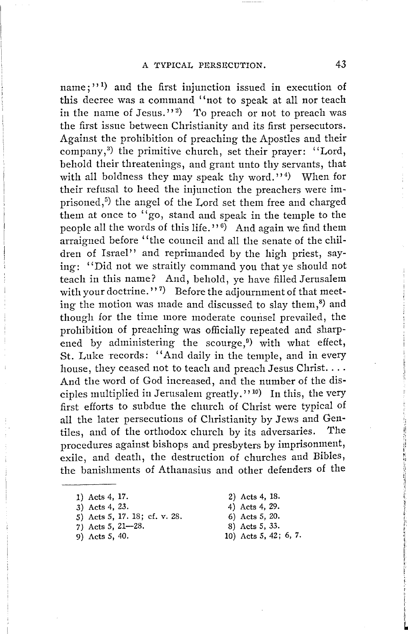name;"<sup>1</sup>) and the first injunction issued in execution of this decree was a command ''not to speak at all nor teach in the name of Jesus."<sup>2</sup>) To preach or not to preach was the first issue between Christianity and its first persecutors. Against the prohibition of preaching the Apostles and their company,<sup>3)</sup> the primitive church, set their prayer: "Lord, behold their threatenings, and grant unto thy servants, that with all boldness they may speak thy word.'' 4) When for their refusal to heed the injunction the preachers were imprisoned,<sup>5</sup>) the angel of the Lord set them free and charged them at once to ''go, stand and speak in the temple to the people all the words of this life.'' <sup>6</sup>) And again we find them arraigned before "the council and all the senate of the children of Israel'' and reprimanded by the high priest, saying: "Did not we straitly command you that ye should not teach in this name? And, behold, ye have filled Jerusalem with your doctrine.''  $^7$  Before the adjournment of that meeting the motion was made and discussed to slay them, $^{8)}$  and though for the time more moderate comisel prevailed, the prohibition of preaching was officially repeated and sharpened by administering the scourge,<sup> $9)$ </sup> with what effect, St. Luke records: "And daily in the temple, and in every house, they ceased not to teach and preach Jesus Christ.... And the word of God increased, and the number of the disciples multiplied in Jerusalem greatly.'' 10) In this, the very first efforts to subdue the church of Christ were typical of all the later persecutions of Christianity by Jews and Gentiles, and of the orthodox church by its adversaries. The procedures against bishops and presbyters by imprisonment, exile, and death, the destruction of churches and Bibles, the banishments of Athanasius and other defenders of the

- 1) Acts 4, 17.
- 3) Acts 4, 23.
- 5) Acts 5, 17. 18; cf. v. 28.
- 7) Acts 5, 21-28.
- 9) Acts 5, 40.

2) Acts 4, 18. 4) Acts 4, 29. 6) Acts *5,* 20.

- 8) Acts *5, 33.*
- 10) Acts 5, 42; 6, 7.

i'  $\ddot{\phantom{0}}$ 

|<br>|<br>|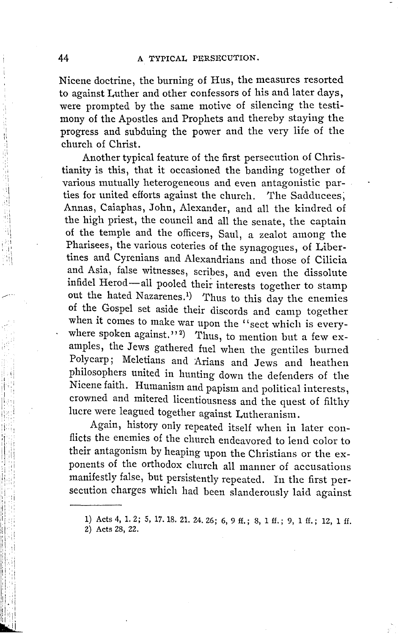Nicene doctrine, the burning of Hus, the measures resorted to against Luther and other confessors of his and later days, were prompted by the same motive of silencing the testimony of the Apostles and Prophets and thereby staying the progress and subduing the power and the very life of the church of Christ.

Another typical feature of the first persecution of Christianity is this, that it occasioned the banding together of various mutually heterogeneous and even antagonistic parties for united efforts against the church. The Sadducees; Annas, Caiaphas, John, Alexander, and all the kindred of the high priest, the council and all the senate, the captain of the temple and the officers, Saul, a zealot among the Pharisees, the various coteries of the synagogues, of Libertines and Cyrenians and Alexandrians and those of Cilicia and Asia, false witnesses, scribes, and even the dissolute infidel Herod-all pooled their interests together to stamp out the hated Nazarenes.<sup>1</sup>) Thus to this day the enemies of the Gospel set aside their discords and camp together when it comes to make war upon the "sect which is everywhere spoken against.''<sup>2</sup>) Thus, to mention but a few examples, the Jews gathered fuel when the gentiles burned Poly carp; Meletians and Arians and Jews and heathen philosophers united in hunting down the defenders of the Nicene faith. Humanism and papism and political interests, crowned and mitered licentiousness and the quest of filthy lucre were leagued together against Lutheranism.

Again, history only repeated itself when in later conflicts the enemies of the church endeavored to lend color to their antagonism by heaping upon the Christians or the exponents of the orthodox church all manner of accusations manifestly false, but persistently repeated. In the first persecution charges which had been slanderously laid against

,,  $\cdot$ ,ii ' I

i '1:i I '' 1 ,,

**<sup>1)</sup>** Acts 4, 1. 2; 5, 17. 18. 21. 24. 26; 6, 9 ff.; 8, 1 ff.; 9, **1** ff. ; 12, **1** ff.

<sup>2)</sup> Acts 28, 22.